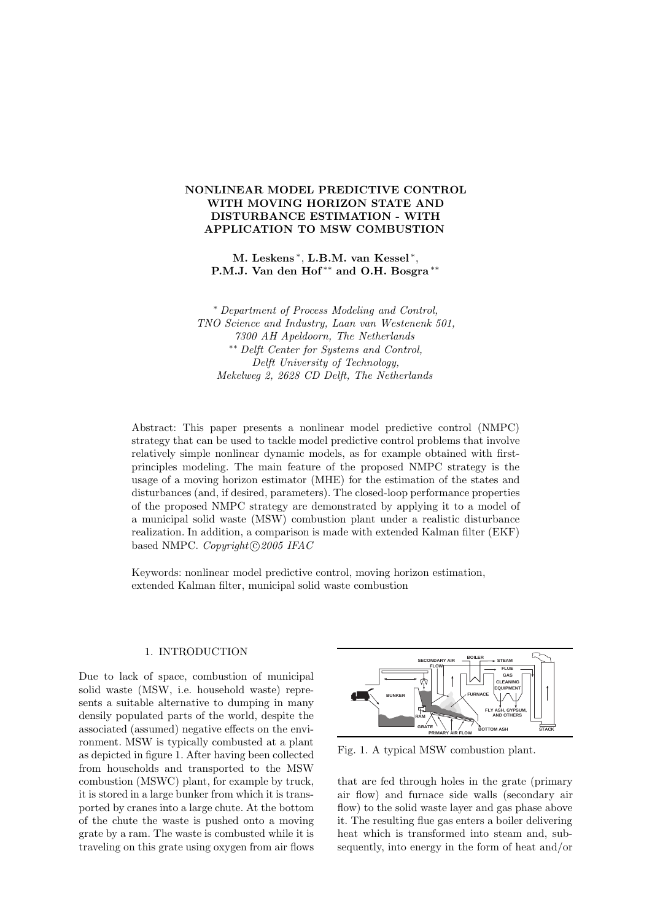# **NONLINEAR MODEL PREDICTIVE CONTROL WITH MOVING HORIZON STATE AND DISTURBANCE ESTIMATION - WITH APPLICATION TO MSW COMBUSTION**

**M. Leskens** <sup>∗</sup>, **L.B.M. van Kessel** <sup>∗</sup>, **P.M.J. Van den Hof** ∗∗ **and O.H. Bosgra** ∗∗

<sup>∗</sup> *Department of Process Modeling and Control, TNO Science and Industry, Laan van Westenenk 501, 7300 AH Apeldoorn, The Netherlands* ∗∗ *Delft Center for Systems and Control, Delft University of Technology, Mekelweg 2, 2628 CD Delft, The Netherlands*

Abstract: This paper presents a nonlinear model predictive control (NMPC) strategy that can be used to tackle model predictive control problems that involve relatively simple nonlinear dynamic models, as for example obtained with firstprinciples modeling. The main feature of the proposed NMPC strategy is the usage of a moving horizon estimator (MHE) for the estimation of the states and disturbances (and, if desired, parameters). The closed-loop performance properties of the proposed NMPC strategy are demonstrated by applying it to a model of a municipal solid waste (MSW) combustion plant under a realistic disturbance realization. In addition, a comparison is made with extended Kalman filter (EKF) based NMPC. *Copyright*  $\bigcirc$  2005 IFAC

Keywords: nonlinear model predictive control, moving horizon estimation, extended Kalman filter, municipal solid waste combustion

## 1. INTRODUCTION

Due to lack of space, combustion of municipal solid waste (MSW, i.e. household waste) represents a suitable alternative to dumping in many densily populated parts of the world, despite the associated (assumed) negative effects on the environment. MSW is typically combusted at a plant as depicted in figure 1. After having been collected from households and transported to the MSW combustion (MSWC) plant, for example by truck, it is stored in a large bunker from which it is transported by cranes into a large chute. At the bottom of the chute the waste is pushed onto a moving grate by a ram. The waste is combusted while it is traveling on this grate using oxygen from air flows



Fig. 1. A typical MSW combustion plant.

that are fed through holes in the grate (primary air flow) and furnace side walls (secondary air flow) to the solid waste layer and gas phase above it. The resulting flue gas enters a boiler delivering heat which is transformed into steam and, subsequently, into energy in the form of heat and/or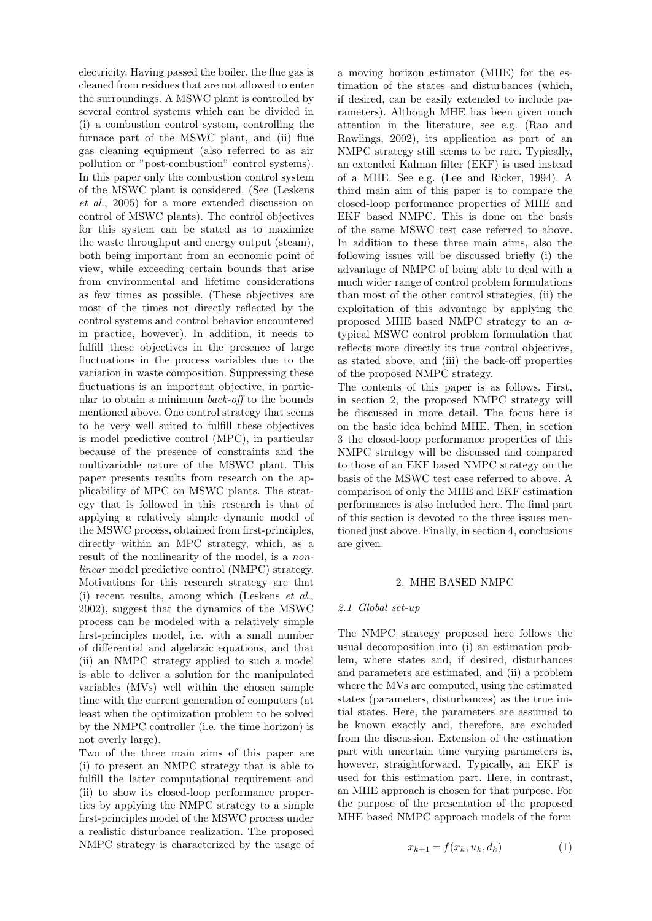electricity. Having passed the boiler, the flue gas is cleaned from residues that are not allowed to enter the surroundings. A MSWC plant is controlled by several control systems which can be divided in (i) a combustion control system, controlling the furnace part of the MSWC plant, and (ii) flue gas cleaning equipment (also referred to as air pollution or "post-combustion" control systems). In this paper only the combustion control system of the MSWC plant is considered. (See (Leskens *et al.*, 2005) for a more extended discussion on control of MSWC plants). The control objectives for this system can be stated as to maximize the waste throughput and energy output (steam), both being important from an economic point of view, while exceeding certain bounds that arise from environmental and lifetime considerations as few times as possible. (These objectives are most of the times not directly reflected by the control systems and control behavior encountered in practice, however). In addition, it needs to fulfill these objectives in the presence of large fluctuations in the process variables due to the variation in waste composition. Suppressing these fluctuations is an important objective, in particular to obtain a minimum *back-off* to the bounds mentioned above. One control strategy that seems to be very well suited to fulfill these objectives is model predictive control (MPC), in particular because of the presence of constraints and the multivariable nature of the MSWC plant. This paper presents results from research on the applicability of MPC on MSWC plants. The strategy that is followed in this research is that of applying a relatively simple dynamic model of the MSWC process, obtained from first-principles, directly within an MPC strategy, which, as a result of the nonlinearity of the model, is a *nonlinear* model predictive control (NMPC) strategy. Motivations for this research strategy are that (i) recent results, among which (Leskens *et al.*, 2002), suggest that the dynamics of the MSWC process can be modeled with a relatively simple first-principles model, i.e. with a small number of differential and algebraic equations, and that (ii) an NMPC strategy applied to such a model is able to deliver a solution for the manipulated variables (MVs) well within the chosen sample time with the current generation of computers (at least when the optimization problem to be solved by the NMPC controller (i.e. the time horizon) is not overly large).

Two of the three main aims of this paper are (i) to present an NMPC strategy that is able to fulfill the latter computational requirement and (ii) to show its closed-loop performance properties by applying the NMPC strategy to a simple first-principles model of the MSWC process under a realistic disturbance realization. The proposed NMPC strategy is characterized by the usage of a moving horizon estimator (MHE) for the estimation of the states and disturbances (which, if desired, can be easily extended to include parameters). Although MHE has been given much attention in the literature, see e.g. (Rao and Rawlings, 2002), its application as part of an NMPC strategy still seems to be rare. Typically, an extended Kalman filter (EKF) is used instead of a MHE. See e.g. (Lee and Ricker, 1994). A third main aim of this paper is to compare the closed-loop performance properties of MHE and EKF based NMPC. This is done on the basis of the same MSWC test case referred to above. In addition to these three main aims, also the following issues will be discussed briefly (i) the advantage of NMPC of being able to deal with a much wider range of control problem formulations than most of the other control strategies, (ii) the exploitation of this advantage by applying the proposed MHE based NMPC strategy to an *a*typical MSWC control problem formulation that reflects more directly its true control objectives, as stated above, and (iii) the back-off properties of the proposed NMPC strategy.

The contents of this paper is as follows. First, in section 2, the proposed NMPC strategy will be discussed in more detail. The focus here is on the basic idea behind MHE. Then, in section 3 the closed-loop performance properties of this NMPC strategy will be discussed and compared to those of an EKF based NMPC strategy on the basis of the MSWC test case referred to above. A comparison of only the MHE and EKF estimation performances is also included here. The final part of this section is devoted to the three issues mentioned just above. Finally, in section 4, conclusions are given.

## 2. MHE BASED NMPC

### *2.1 Global set-up*

The NMPC strategy proposed here follows the usual decomposition into (i) an estimation problem, where states and, if desired, disturbances and parameters are estimated, and (ii) a problem where the MVs are computed, using the estimated states (parameters, disturbances) as the true initial states. Here, the parameters are assumed to be known exactly and, therefore, are excluded from the discussion. Extension of the estimation part with uncertain time varying parameters is, however, straightforward. Typically, an EKF is used for this estimation part. Here, in contrast, an MHE approach is chosen for that purpose. For the purpose of the presentation of the proposed MHE based NMPC approach models of the form

$$
x_{k+1} = f(x_k, u_k, d_k)
$$
\n<sup>(1)</sup>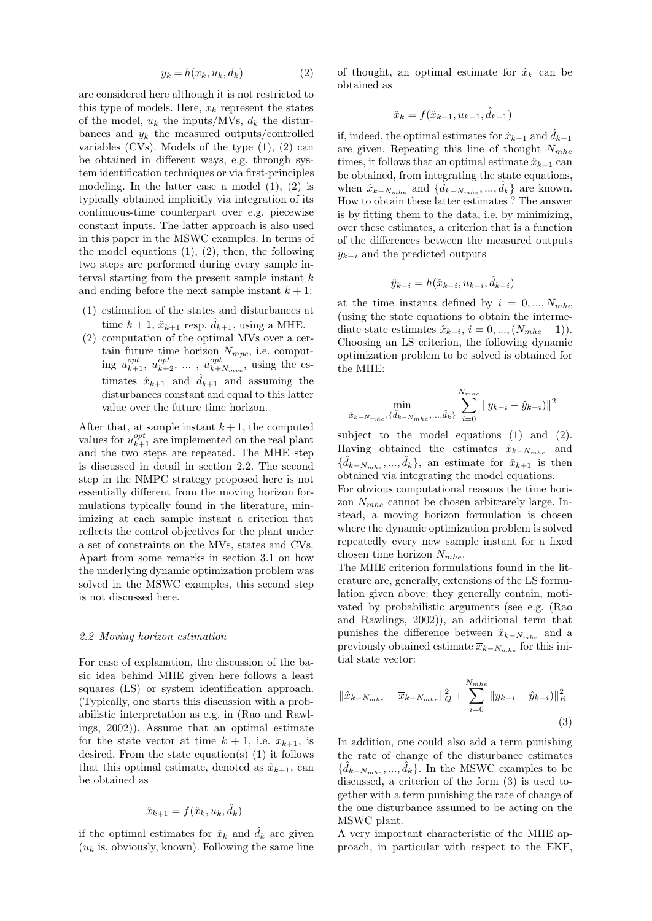$$
y_k = h(x_k, u_k, d_k)
$$
 (2)

are considered here although it is not restricted to this type of models. Here,  $x_k$  represent the states of the model,  $u_k$  the inputs/MVs,  $d_k$  the disturbances and  $y_k$  the measured outputs/controlled variables (CVs). Models of the type (1), (2) can be obtained in different ways, e.g. through system identification techniques or via first-principles modeling. In the latter case a model (1), (2) is typically obtained implicitly via integration of its continuous-time counterpart over e.g. piecewise constant inputs. The latter approach is also used in this paper in the MSWC examples. In terms of the model equations  $(1)$ ,  $(2)$ , then, the following two steps are performed during every sample interval starting from the present sample instant  $k$ and ending before the next sample instant  $k + 1$ :

- (1) estimation of the states and disturbances at time  $k+1$ ,  $\hat{x}_{k+1}$  resp.  $\hat{d}_{k+1}$ , using a MHE.
- (2) computation of the optimal MVs over a certain future time horizon  $N_{mpc}$ , i.e. computing  $u_{k+1}^{opt}$ ,  $u_{k+2}^{opt}$ , ...,  $u_{k+N_{mpc}}^{opt}$ , using the estimates  $\hat{x}_{k+1}$  and  $\hat{d}_{k+1}$  and assuming the disturbances constant and equal to this latter value over the future time horizon.

After that, at sample instant  $k+1$ , the computed values for  $u_{k+1}^{opt}$  are implemented on the real plant and the two steps are repeated. The MHE step is discussed in detail in section 2.2. The second step in the NMPC strategy proposed here is not essentially different from the moving horizon formulations typically found in the literature, minimizing at each sample instant a criterion that reflects the control objectives for the plant under a set of constraints on the MVs, states and CVs. Apart from some remarks in section 3.1 on how the underlying dynamic optimization problem was solved in the MSWC examples, this second step is not discussed here.

## *2.2 Moving horizon estimation*

For ease of explanation, the discussion of the basic idea behind MHE given here follows a least squares (LS) or system identification approach. (Typically, one starts this discussion with a probabilistic interpretation as e.g. in (Rao and Rawlings, 2002)). Assume that an optimal estimate for the state vector at time  $k + 1$ , i.e.  $x_{k+1}$ , is desired. From the state equation(s) (1) it follows that this optimal estimate, denoted as  $\hat{x}_{k+1}$ , can be obtained as

$$
\hat{x}_{k+1} = f(\hat{x}_k, u_k, \hat{d}_k)
$$

if the optimal estimates for  $\hat{x}_k$  and  $\hat{d}_k$  are given  $(u_k$  is, obviously, known). Following the same line of thought, an optimal estimate for  $\hat{x}_k$  can be obtained as

$$
\hat{x}_k = f(\hat{x}_{k-1}, u_{k-1}, \hat{d}_{k-1})
$$

if, indeed, the optimal estimates for  $\hat{x}_{k-1}$  and  $\hat{d}_{k-1}$ are given. Repeating this line of thought  $N_{mhe}$ times, it follows that an optimal estimate  $\hat{x}_{k+1}$  can be obtained, from integrating the state equations, when  $\hat{x}_{k-N_{mhe}}$  and  $\{\tilde{d}_{k-N_{mhe}},...,\tilde{d}_{k}\}$  are known. How to obtain these latter estimates ? The answer is by fitting them to the data, i.e. by minimizing, over these estimates, a criterion that is a function of the differences between the measured outputs  $y_{k-i}$  and the predicted outputs

$$
\hat{y}_{k-i} = h(\hat{x}_{k-i}, u_{k-i}, \hat{d}_{k-i})
$$

at the time instants defined by  $i = 0, ..., N_{mhe}$ (using the state equations to obtain the intermediate state estimates  $\hat{x}_{k-i}, i = 0, ..., (N_{mhe} - 1)$ . Choosing an LS criterion, the following dynamic optimization problem to be solved is obtained for the MHE:

$$
\min_{\hat{x}_{k-N_{mhe}}, \{\hat{d}_{k-N_{mhe}}, \dots, \hat{d}_k\}} \sum_{i=0}^{N_{mhe}} ||y_{k-i} - \hat{y}_{k-i}||^2
$$

subject to the model equations (1) and (2). Having obtained the estimates  $\hat{x}_{k-N_mhe}$  and  $\{\hat{d}_{k-N_{mhe}},...,\hat{d}_{k}\},\$ an estimate for  $\hat{x}_{k+1}$  is then obtained via integrating the model equations. For obvious computational reasons the time horizon  $N_{mhe}$  cannot be chosen arbitrarely large. Instead, a moving horizon formulation is chosen where the dynamic optimization problem is solved

repeatedly every new sample instant for a fixed

chosen time horizon  $N_{mhe}$ . The MHE criterion formulations found in the literature are, generally, extensions of the LS formulation given above: they generally contain, motivated by probabilistic arguments (see e.g. (Rao and Rawlings, 2002)), an additional term that punishes the difference between  $\hat{x}_{k-N_{mhe}}$  and a previously obtained estimate  $\overline{x}_{k-N_{mhe}}$  for this initial state vector:

$$
\|\hat{x}_{k-N_{mhe}} - \overline{x}_{k-N_{mhe}}\|_{Q}^{2} + \sum_{i=0}^{N_{mhe}} \|y_{k-i} - \hat{y}_{k-i})\|_{R}^{2}
$$
\n(3)

In addition, one could also add a term punishing the rate of change of the disturbance estimates  $\{\hat{d}_{k-N_{mhe}},...,\hat{d}_{k}\}.$  In the MSWC examples to be discussed, a criterion of the form (3) is used together with a term punishing the rate of change of the one disturbance assumed to be acting on the MSWC plant.

A very important characteristic of the MHE approach, in particular with respect to the EKF,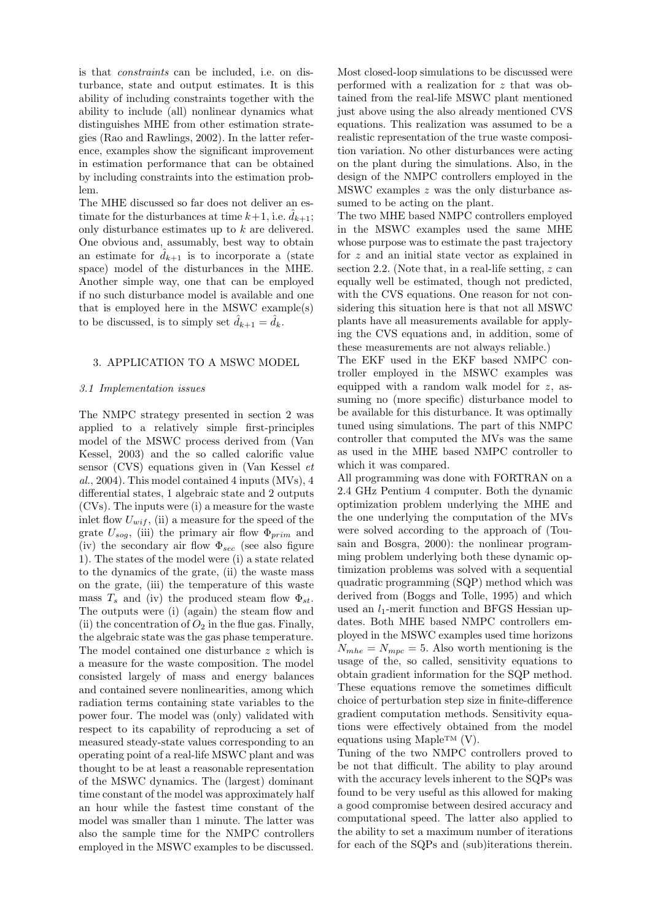is that *constraints* can be included, i.e. on disturbance, state and output estimates. It is this ability of including constraints together with the ability to include (all) nonlinear dynamics what distinguishes MHE from other estimation strategies (Rao and Rawlings, 2002). In the latter reference, examples show the significant improvement in estimation performance that can be obtained by including constraints into the estimation problem.

The MHE discussed so far does not deliver an estimate for the disturbances at time  $k+1$ , i.e.  $\hat{d}_{k+1}$ ; only disturbance estimates up to  $k$  are delivered. One obvious and, assumably, best way to obtain an estimate for  $\hat{d}_{k+1}$  is to incorporate a (state space) model of the disturbances in the MHE. Another simple way, one that can be employed if no such disturbance model is available and one that is employed here in the MSWC example(s) to be discussed, is to simply set  $\hat{d}_{k+1} = \hat{d}_k$ .

## 3. APPLICATION TO A MSWC MODEL

#### *3.1 Implementation issues*

The NMPC strategy presented in section 2 was applied to a relatively simple first-principles model of the MSWC process derived from (Van Kessel, 2003) and the so called calorific value sensor (CVS) equations given in (Van Kessel *et al.*, 2004). This model contained 4 inputs (MVs), 4 differential states, 1 algebraic state and 2 outputs (CVs). The inputs were (i) a measure for the waste inlet flow  $U_{wif}$ , (ii) a measure for the speed of the grate  $U_{sog}$ , (iii) the primary air flow  $\Phi_{prim}$  and (iv) the secondary air flow  $\Phi_{sec}$  (see also figure 1). The states of the model were (i) a state related to the dynamics of the grate, (ii) the waste mass on the grate, (iii) the temperature of this waste mass  $T_s$  and (iv) the produced steam flow  $\Phi_{st}$ . The outputs were (i) (again) the steam flow and (ii) the concentration of  $O_2$  in the flue gas. Finally, the algebraic state was the gas phase temperature. The model contained one disturbance z which is a measure for the waste composition. The model consisted largely of mass and energy balances and contained severe nonlinearities, among which radiation terms containing state variables to the power four. The model was (only) validated with respect to its capability of reproducing a set of measured steady-state values corresponding to an operating point of a real-life MSWC plant and was thought to be at least a reasonable representation of the MSWC dynamics. The (largest) dominant time constant of the model was approximately half an hour while the fastest time constant of the model was smaller than 1 minute. The latter was also the sample time for the NMPC controllers employed in the MSWC examples to be discussed.

Most closed-loop simulations to be discussed were performed with a realization for z that was obtained from the real-life MSWC plant mentioned just above using the also already mentioned CVS equations. This realization was assumed to be a realistic representation of the true waste composition variation. No other disturbances were acting on the plant during the simulations. Also, in the design of the NMPC controllers employed in the MSWC examples z was the only disturbance assumed to be acting on the plant.

The two MHE based NMPC controllers employed in the MSWC examples used the same MHE whose purpose was to estimate the past trajectory for z and an initial state vector as explained in section 2.2. (Note that, in a real-life setting,  $z \text{ can}$ ) equally well be estimated, though not predicted, with the CVS equations. One reason for not considering this situation here is that not all MSWC plants have all measurements available for applying the CVS equations and, in addition, some of these measurements are not always reliable.)

The EKF used in the EKF based NMPC controller employed in the MSWC examples was equipped with a random walk model for z, assuming no (more specific) disturbance model to be available for this disturbance. It was optimally tuned using simulations. The part of this NMPC controller that computed the MVs was the same as used in the MHE based NMPC controller to which it was compared.

All programming was done with FORTRAN on a 2.4 GHz Pentium 4 computer. Both the dynamic optimization problem underlying the MHE and the one underlying the computation of the MVs were solved according to the approach of (Tousain and Bosgra, 2000): the nonlinear programming problem underlying both these dynamic optimization problems was solved with a sequential quadratic programming (SQP) method which was derived from (Boggs and Tolle, 1995) and which used an  $l_1$ -merit function and BFGS Hessian updates. Both MHE based NMPC controllers employed in the MSWC examples used time horizons  $N_{mhe} = N_{mpc} = 5$ . Also worth mentioning is the usage of the, so called, sensitivity equations to obtain gradient information for the SQP method. These equations remove the sometimes difficult choice of perturbation step size in finite-difference gradient computation methods. Sensitivity equations were effectively obtained from the model equations using Maple<sup>TM</sup> (V).

Tuning of the two NMPC controllers proved to be not that difficult. The ability to play around with the accuracy levels inherent to the SQPs was found to be very useful as this allowed for making a good compromise between desired accuracy and computational speed. The latter also applied to the ability to set a maximum number of iterations for each of the SQPs and (sub)iterations therein.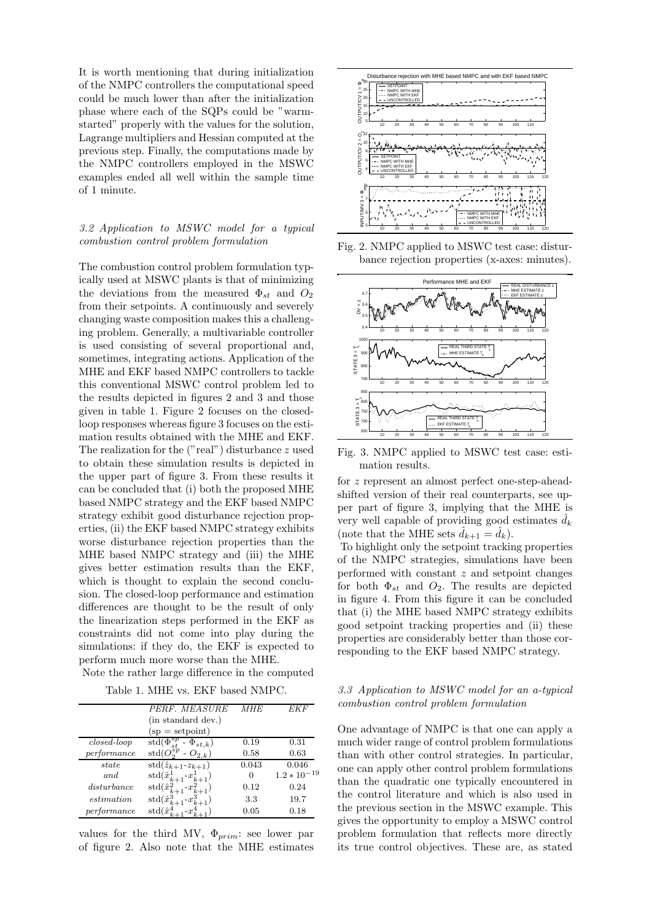It is worth mentioning that during initialization of the NMPC controllers the computational speed could be much lower than after the initialization phase where each of the SQPs could be "warmstarted" properly with the values for the solution, Lagrange multipliers and Hessian computed at the previous step. Finally, the computations made by the NMPC controllers employed in the MSWC examples ended all well within the sample time of 1 minute.

# *3.2 Application to MSWC model for a typical combustion control problem formulation*

The combustion control problem formulation typically used at MSWC plants is that of minimizing the deviations from the measured  $\Phi_{st}$  and  $O_2$ from their setpoints. A continuously and severely changing waste composition makes this a challenging problem. Generally, a multivariable controller is used consisting of several proportional and, sometimes, integrating actions. Application of the MHE and EKF based NMPC controllers to tackle this conventional MSWC control problem led to the results depicted in figures 2 and 3 and those given in table 1. Figure 2 focuses on the closedloop responses whereas figure 3 focuses on the estimation results obtained with the MHE and EKF. The realization for the ("real") disturbance z used to obtain these simulation results is depicted in the upper part of figure 3. From these results it can be concluded that (i) both the proposed MHE based NMPC strategy and the EKF based NMPC strategy exhibit good disturbance rejection properties, (ii) the EKF based NMPC strategy exhibits worse disturbance rejection properties than the MHE based NMPC strategy and (iii) the MHE gives better estimation results than the EKF, which is thought to explain the second conclusion. The closed-loop performance and estimation differences are thought to be the result of only the linearization steps performed in the EKF as constraints did not come into play during the simulations: if they do, the EKF is expected to perform much more worse than the MHE.

Note the rather large difference in the computed

| Table 1. MHE vs. EKF based NMPC. |  |  |  |  |  |
|----------------------------------|--|--|--|--|--|
|----------------------------------|--|--|--|--|--|

|               | PERF. MEASURE                                     | <b>MHE</b> | EKF              |
|---------------|---------------------------------------------------|------------|------------------|
|               | (in standard dev.)                                |            |                  |
|               | $sp =$ setpoint)                                  |            |                  |
| $closed-loop$ | $std(\overline{\Phi_{-4}^{sp}})$<br>$\Phi_{st,k}$ | 0.19       | 0.31             |
| performance   | std(<br>$O_{2,k}$                                 | 0.58       | 0.63             |
| state         | $\text{std}(\hat{z}_{k+1}$ - $z_{k+1}$            | 0.043      | 0.046            |
| and           | $\operatorname{std}(\hat{x})$                     | 0          | $1.2 * 10^{-19}$ |
| distance      | $std(\hat{x}_{i}^{2})$                            | 0.12       | 0.24             |
| estimation    | $std(\hat{x}_{k}^{3})$                            | 3.3        | 19.7             |
| performance   | $std(\hat{x})$                                    | 0.05       | 0.18             |

values for the third MV,  $\Phi_{prim}$ : see lower par of figure 2. Also note that the MHE estimates



Fig. 2. NMPC applied to MSWC test case: disturbance rejection properties (x-axes: minutes).



Fig. 3. NMPC applied to MSWC test case: estimation results.

for z represent an almost perfect one-step-aheadshifted version of their real counterparts, see upper part of figure 3, implying that the MHE is very well capable of providing good estimates  $\hat{d}_k$ (note that the MHE sets  $\hat{d}_{k+1} = \hat{d}_k$ ).

To highlight only the setpoint tracking properties of the NMPC strategies, simulations have been performed with constant z and setpoint changes for both  $\Phi_{st}$  and  $O_2$ . The results are depicted in figure 4. From this figure it can be concluded that (i) the MHE based NMPC strategy exhibits good setpoint tracking properties and (ii) these properties are considerably better than those corresponding to the EKF based NMPC strategy.

# *3.3 Application to MSWC model for an a-typical combustion control problem formulation*

One advantage of NMPC is that one can apply a much wider range of control problem formulations than with other control strategies. In particular, one can apply other control problem formulations than the quadratic one typically encountered in the control literature and which is also used in the previous section in the MSWC example. This gives the opportunity to employ a MSWC control problem formulation that reflects more directly its true control objectives. These are, as stated